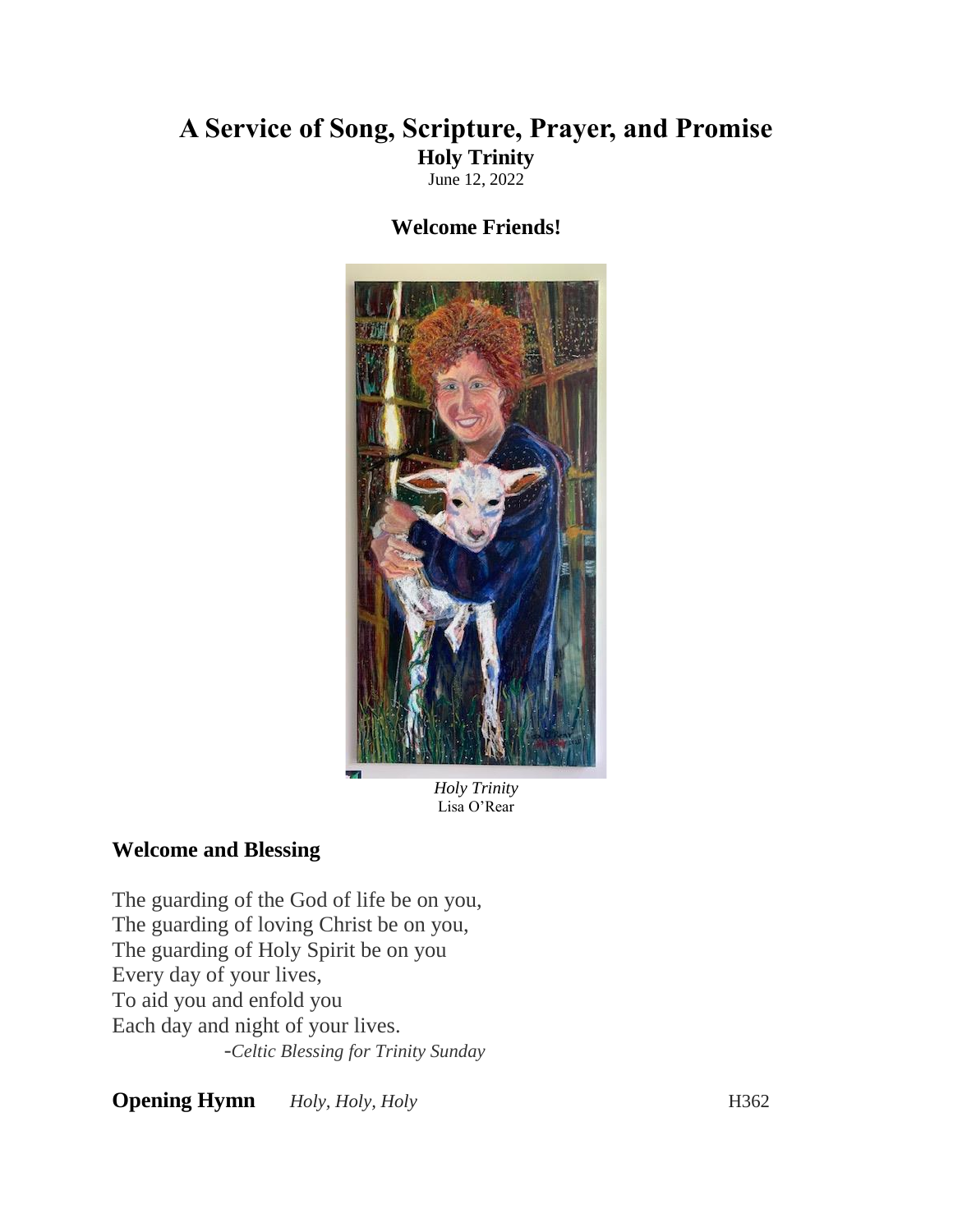# **A Service of Song, Scripture, Prayer, and Promise Holy Trinity**

June 12, 2022

## **Welcome Friends!**



*Holy Trinity* Lisa O'Rear

## **Welcome and Blessing**

The guarding of the God of life be on you, The guarding of loving Christ be on you, The guarding of Holy Spirit be on you Every day of your lives, To aid you and enfold you Each day and night of your lives. -*Celtic Blessing for Trinity Sunday*

**Opening Hymn** *Holy, Holy, Holy Holy* **H362**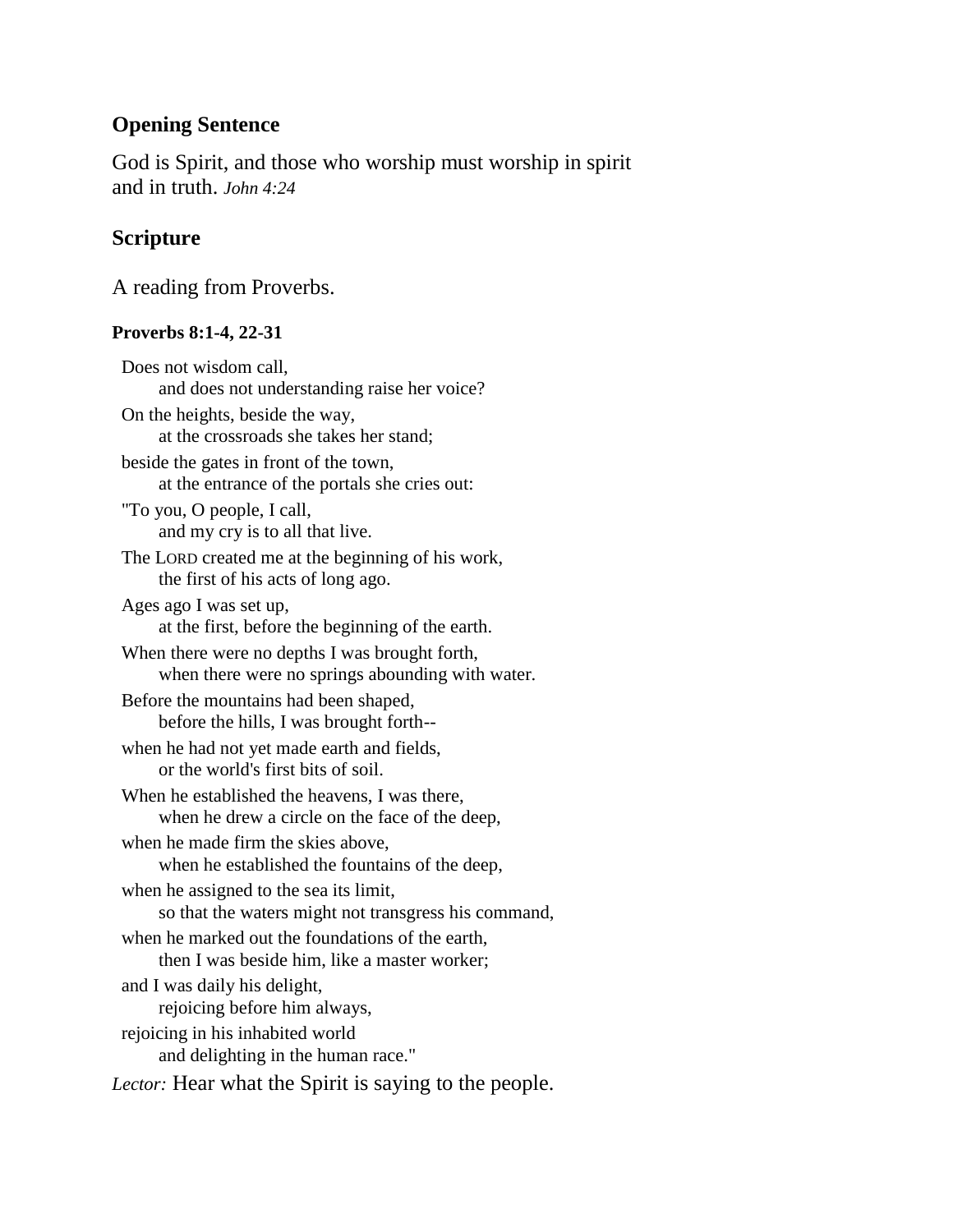# **Opening Sentence**

God is Spirit, and those who worship must worship in spirit and in truth. *John 4:24*

# **Scripture**

A reading from Proverbs.

#### **Proverbs 8:1-4, 22-31**

Does not wisdom call, and does not understanding raise her voice? On the heights, beside the way, at the crossroads she takes her stand; beside the gates in front of the town, at the entrance of the portals she cries out: "To you, O people, I call, and my cry is to all that live. The LORD created me at the beginning of his work, the first of his acts of long ago. Ages ago I was set up, at the first, before the beginning of the earth. When there were no depths I was brought forth, when there were no springs abounding with water. Before the mountains had been shaped, before the hills, I was brought forth- when he had not yet made earth and fields, or the world's first bits of soil. When he established the heavens, I was there, when he drew a circle on the face of the deep, when he made firm the skies above, when he established the fountains of the deep, when he assigned to the sea its limit, so that the waters might not transgress his command, when he marked out the foundations of the earth, then I was beside him, like a master worker; and I was daily his delight, rejoicing before him always, rejoicing in his inhabited world and delighting in the human race." *Lector:* Hear what the Spirit is saying to the people.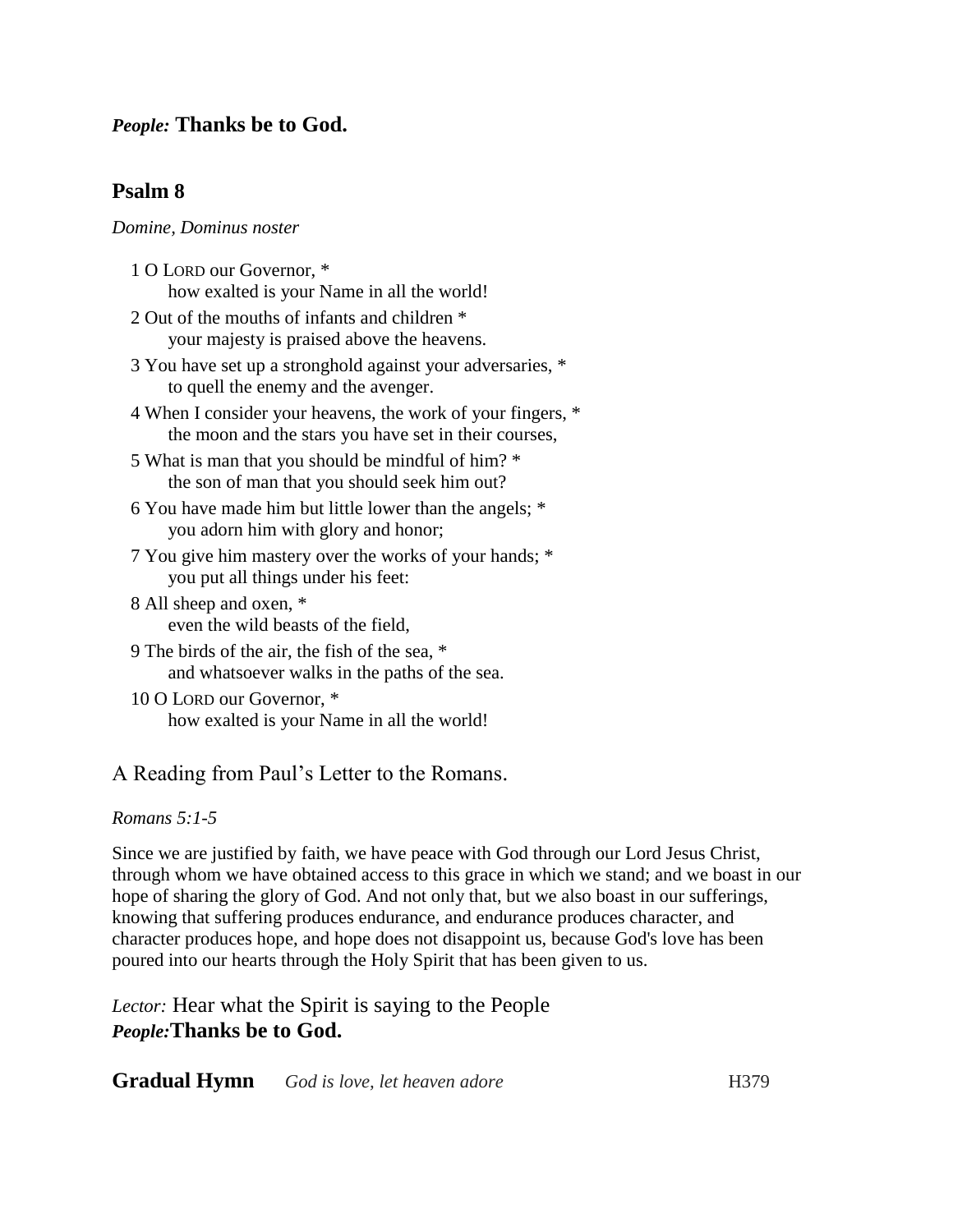## *People:* **Thanks be to God.**

## **Psalm 8**

#### *Domine, Dominus noster*

- 1 O LORD our Governor, \* how exalted is your Name in all the world!
- 2 Out of the mouths of infants and children \* your majesty is praised above the heavens.
- 3 You have set up a stronghold against your adversaries, \* to quell the enemy and the avenger.
- 4 When I consider your heavens, the work of your fingers, \* the moon and the stars you have set in their courses,
- 5 What is man that you should be mindful of him? \* the son of man that you should seek him out?
- 6 You have made him but little lower than the angels; \* you adorn him with glory and honor;
- 7 You give him mastery over the works of your hands; \* you put all things under his feet:
- 8 All sheep and oxen, \* even the wild beasts of the field,
- 9 The birds of the air, the fish of the sea, \* and whatsoever walks in the paths of the sea.
- 10 O LORD our Governor, \* how exalted is your Name in all the world!

## A Reading from Paul's Letter to the Romans.

#### *Romans 5:1-5*

Since we are justified by faith, we have peace with God through our Lord Jesus Christ, through whom we have obtained access to this grace in which we stand; and we boast in our hope of sharing the glory of God. And not only that, but we also boast in our sufferings, knowing that suffering produces endurance, and endurance produces character, and character produces hope, and hope does not disappoint us, because God's love has been poured into our hearts through the Holy Spirit that has been given to us.

*Lector:* Hear what the Spirit is saying to the People *People:***Thanks be to God.**

**Gradual Hymn** *God is love, let heaven adore* **H379**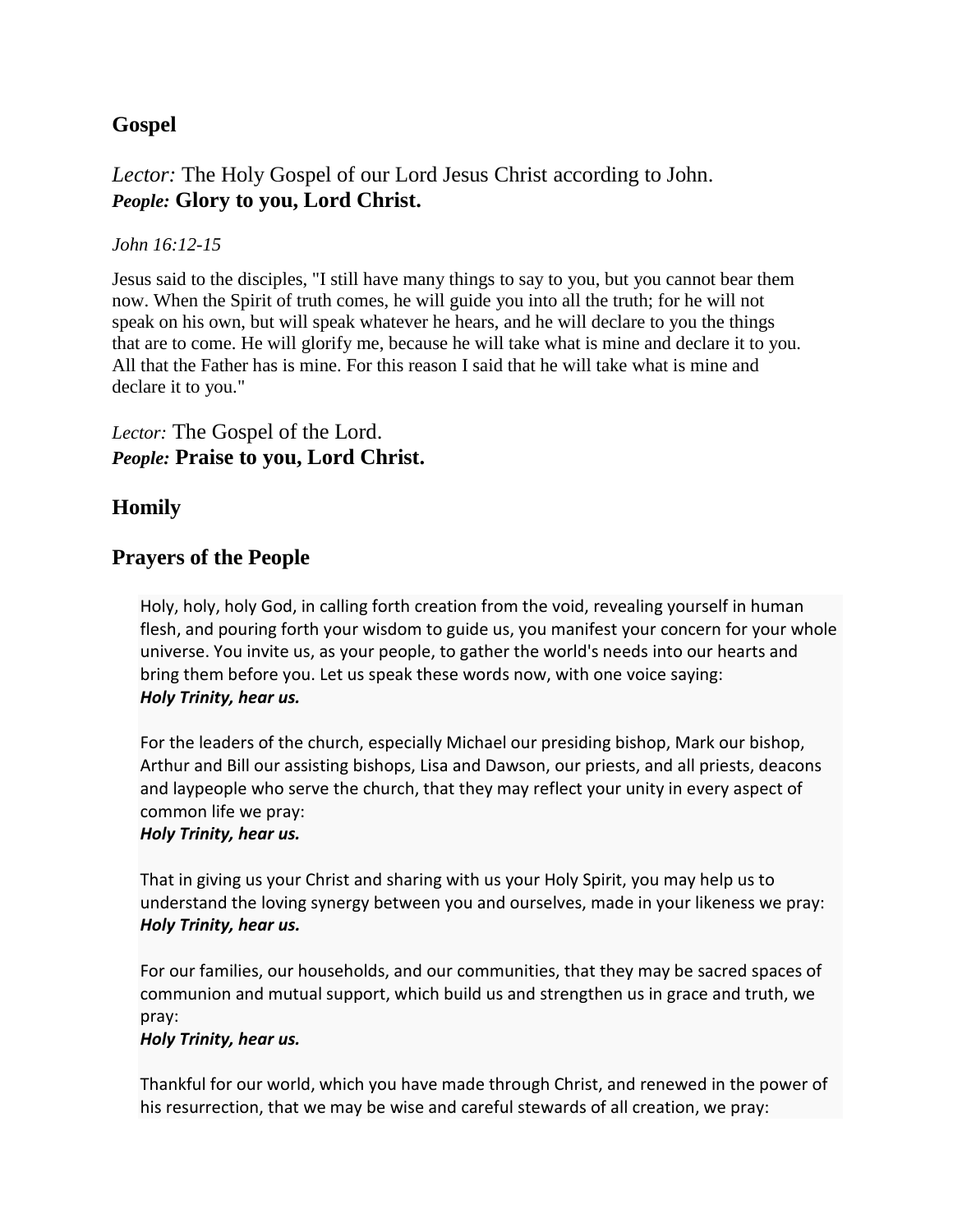# **Gospel**

# *Lector:* The Holy Gospel of our Lord Jesus Christ according to John. *People:* **Glory to you, Lord Christ.**

#### *John 16:12-15*

Jesus said to the disciples, "I still have many things to say to you, but you cannot bear them now. When the Spirit of truth comes, he will guide you into all the truth; for he will not speak on his own, but will speak whatever he hears, and he will declare to you the things that are to come. He will glorify me, because he will take what is mine and declare it to you. All that the Father has is mine. For this reason I said that he will take what is mine and declare it to you."

## *Lector:* The Gospel of the Lord. *People:* **Praise to you, Lord Christ.**

# **Homily**

## **Prayers of the People**

Holy, holy, holy God, in calling forth creation from the void, revealing yourself in human flesh, and pouring forth your wisdom to guide us, you manifest your concern for your whole universe. You invite us, as your people, to gather the world's needs into our hearts and bring them before you. Let us speak these words now, with one voice saying: *Holy Trinity, hear us.*

For the leaders of the church, especially Michael our presiding bishop, Mark our bishop, Arthur and Bill our assisting bishops, Lisa and Dawson, our priests, and all priests, deacons and laypeople who serve the church, that they may reflect your unity in every aspect of common life we pray: *Holy Trinity, hear us.*

# That in giving us your Christ and sharing with us your Holy Spirit, you may help us to understand the loving synergy between you and ourselves, made in your likeness we pray:

#### *Holy Trinity, hear us.*

For our families, our households, and our communities, that they may be sacred spaces of communion and mutual support, which build us and strengthen us in grace and truth, we pray:

#### *Holy Trinity, hear us.*

Thankful for our world, which you have made through Christ, and renewed in the power of his resurrection, that we may be wise and careful stewards of all creation, we pray: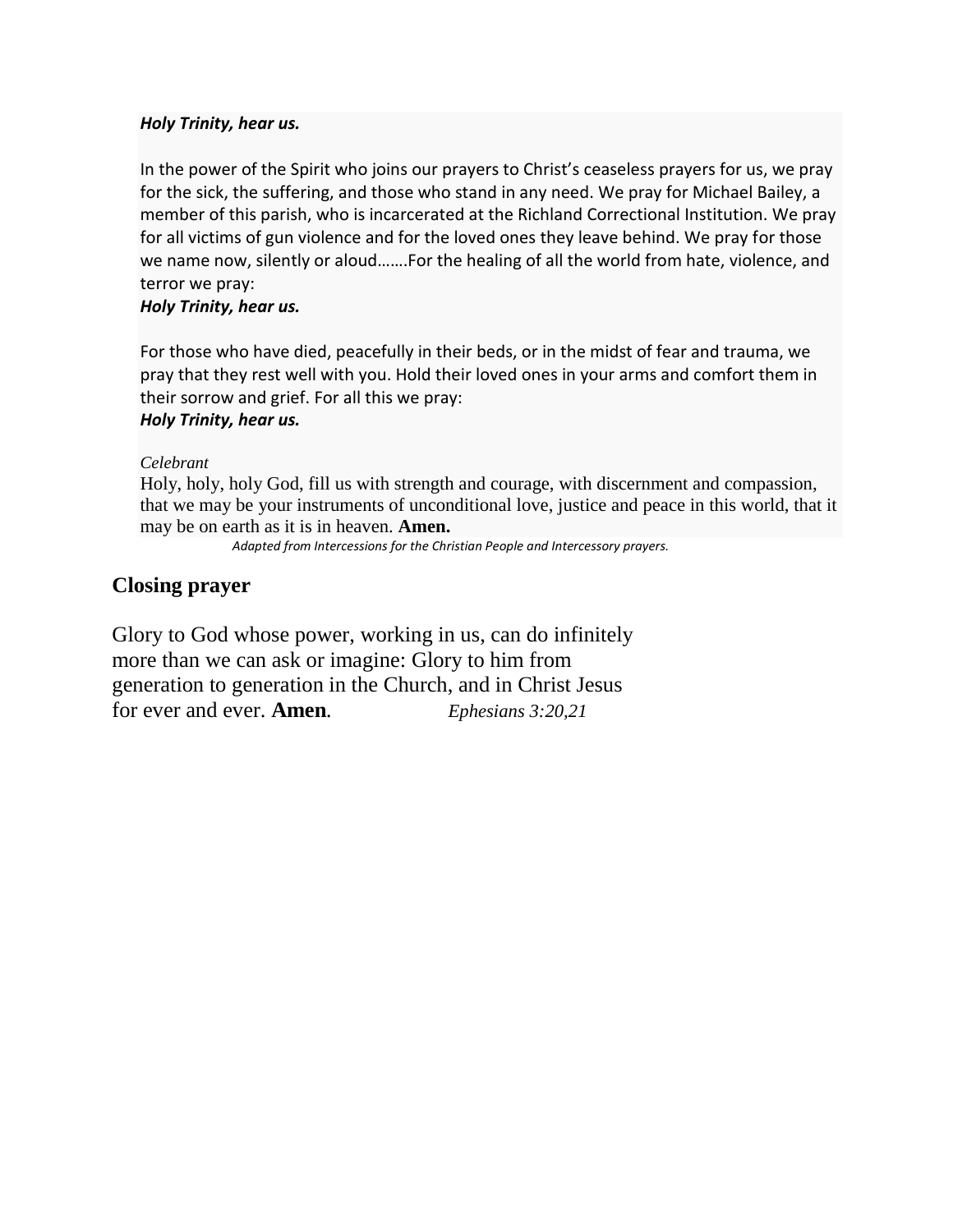#### *Holy Trinity, hear us.*

In the power of the Spirit who joins our prayers to Christ's ceaseless prayers for us, we pray for the sick, the suffering, and those who stand in any need. We pray for Michael Bailey, a member of this parish, who is incarcerated at the Richland Correctional Institution. We pray for all victims of gun violence and for the loved ones they leave behind. We pray for those we name now, silently or aloud…….For the healing of all the world from hate, violence, and terror we pray:

#### *Holy Trinity, hear us.*

For those who have died, peacefully in their beds, or in the midst of fear and trauma, we pray that they rest well with you. Hold their loved ones in your arms and comfort them in their sorrow and grief. For all this we pray:

## *Holy Trinity, hear us.*

#### *Celebrant*

Holy, holy, holy God, fill us with strength and courage, with discernment and compassion, that we may be your instruments of unconditional love, justice and peace in this world, that it may be on earth as it is in heaven. **Amen.**

 *Adapted from Intercessions for the Christian People and Intercessory prayers.*

### **Closing prayer**

Glory to God whose power, working in us, can do infinitely more than we can ask or imagine: Glory to him from generation to generation in the Church, and in Christ Jesus for ever and ever. **Amen***. Ephesians 3:20,21*